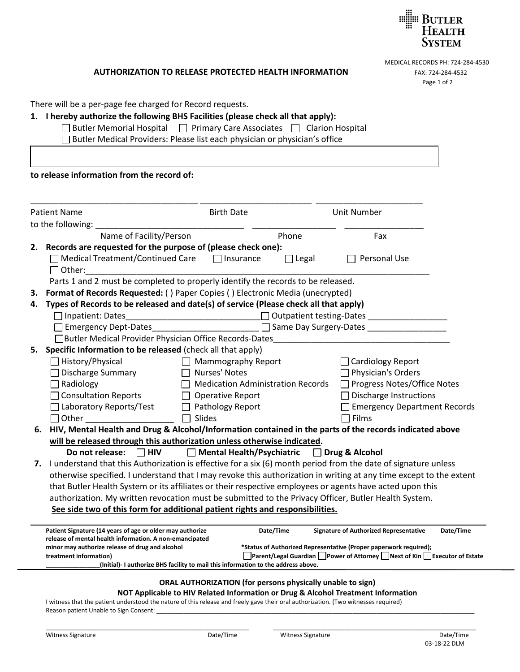

## **AUTHORIZATION TO RELEASE PROTECTED HEALTH INFORMATION FAX: 724-284-4532**

MEDICAL RECORDS PH: 724-284-4530 Page 1 of 2

| There will be a per-page fee charged for Record requests. |  |  |
|-----------------------------------------------------------|--|--|
|-----------------------------------------------------------|--|--|

## **1. I hereby authorize the following BHS Facilities (please check all that apply):**

 $\Box$  Butler Memorial Hospital  $\Box$  Primary Care Associates  $\Box$  Clarion Hospital □ Butler Medical Providers: Please list each physician or physician's office

## **to release information from the record of:**

|                                                                                                                                                                                 | <b>Patient Name</b><br>to the following:                                                                           | <b>Birth Date</b>                                 |              | <b>Unit Number</b>                            |           |  |  |  |
|---------------------------------------------------------------------------------------------------------------------------------------------------------------------------------|--------------------------------------------------------------------------------------------------------------------|---------------------------------------------------|--------------|-----------------------------------------------|-----------|--|--|--|
|                                                                                                                                                                                 | Name of Facility/Person                                                                                            |                                                   | Phone        | Fax                                           |           |  |  |  |
|                                                                                                                                                                                 | 2. Records are requested for the purpose of (please check one):                                                    |                                                   |              |                                               |           |  |  |  |
|                                                                                                                                                                                 | □ Medical Treatment/Continued Care □ Insurance<br>$\Box$ Other:                                                    |                                                   | $\Box$ Legal | Personal Use                                  |           |  |  |  |
|                                                                                                                                                                                 | Parts 1 and 2 must be completed to properly identify the records to be released.                                   |                                                   |              |                                               |           |  |  |  |
| з.                                                                                                                                                                              | Format of Records Requested: () Paper Copies () Electronic Media (unecrypted)                                      |                                                   |              |                                               |           |  |  |  |
| 4.                                                                                                                                                                              | Types of Records to be released and date(s) of service (Please check all that apply)                               |                                                   |              |                                               |           |  |  |  |
|                                                                                                                                                                                 | □ Inpatient: Dates                                                                                                 | <u> 1989 - Johann Barbara, martxa alemaniar a</u> |              | $\Box$ Outpatient testing-Dates               |           |  |  |  |
|                                                                                                                                                                                 | □ Same Day Surgery-Dates<br>Emergency Dept-Dates                                                                   |                                                   |              |                                               |           |  |  |  |
|                                                                                                                                                                                 | □Butler Medical Provider Physician Office Records-Dates                                                            |                                                   |              |                                               |           |  |  |  |
|                                                                                                                                                                                 | 5. Specific Information to be released (check all that apply)                                                      |                                                   |              |                                               |           |  |  |  |
|                                                                                                                                                                                 | $\Box$ History/Physical                                                                                            | $\Box$ Mammography Report                         |              | $\Box$ Cardiology Report                      |           |  |  |  |
|                                                                                                                                                                                 | □ Discharge Summary                                                                                                | □ Nurses' Notes                                   |              | $\Box$ Physician's Orders                     |           |  |  |  |
|                                                                                                                                                                                 | $\Box$ Radiology                                                                                                   | $\Box$ Medication Administration Records          |              | □ Progress Notes/Office Notes                 |           |  |  |  |
|                                                                                                                                                                                 | □ Consultation Reports                                                                                             | $\Box$ Operative Report                           |              | <b>Discharge Instructions</b>                 |           |  |  |  |
|                                                                                                                                                                                 | □ Laboratory Reports/Test                                                                                          | $\Box$ Pathology Report                           |              | <b>Emergency Department Records</b>           |           |  |  |  |
|                                                                                                                                                                                 | $\square$ Other                                                                                                    | Slides                                            |              | Films                                         |           |  |  |  |
|                                                                                                                                                                                 | 6. HIV, Mental Health and Drug & Alcohol/Information contained in the parts of the records indicated above         |                                                   |              |                                               |           |  |  |  |
|                                                                                                                                                                                 | will be released through this authorization unless otherwise indicated.                                            |                                                   |              |                                               |           |  |  |  |
|                                                                                                                                                                                 | □ Mental Health/Psychiatric □ Drug & Alcohol<br>Do not release: $\Box$ HIV                                         |                                                   |              |                                               |           |  |  |  |
|                                                                                                                                                                                 | 7. I understand that this Authorization is effective for a six (6) month period from the date of signature unless  |                                                   |              |                                               |           |  |  |  |
|                                                                                                                                                                                 | otherwise specified. I understand that I may revoke this authorization in writing at any time except to the extent |                                                   |              |                                               |           |  |  |  |
|                                                                                                                                                                                 | that Butler Health System or its affiliates or their respective employees or agents have acted upon this           |                                                   |              |                                               |           |  |  |  |
|                                                                                                                                                                                 | authorization. My written revocation must be submitted to the Privacy Officer, Butler Health System.               |                                                   |              |                                               |           |  |  |  |
|                                                                                                                                                                                 | See side two of this form for additional patient rights and responsibilities.                                      |                                                   |              |                                               |           |  |  |  |
|                                                                                                                                                                                 | Patient Signature (14 years of age or older may authorize                                                          |                                                   | Date/Time    | <b>Signature of Authorized Representative</b> | Date/Time |  |  |  |
| release of mental health information. A non-emancipated<br>minor may authorize release of drug and alcohol<br>*Status of Authorized Representative (Proper paperwork required); |                                                                                                                    |                                                   |              |                                               |           |  |  |  |
| $\Box$ Parent/Legal Guardian $\Box$ Power of Attorney $\Box$ Next of Kin $\Box$ Executor of Estate<br>treatment information)                                                    |                                                                                                                    |                                                   |              |                                               |           |  |  |  |
| (Initial)- I authorize BHS facility to mail this information to the address above.                                                                                              |                                                                                                                    |                                                   |              |                                               |           |  |  |  |
| ORAL AUTHORIZATION (for persons physically unable to sign)                                                                                                                      |                                                                                                                    |                                                   |              |                                               |           |  |  |  |
|                                                                                                                                                                                 | NOT Applicable to HIV Related Information or Drug & Alcohol Treatment Information                                  |                                                   |              |                                               |           |  |  |  |

I witness that the patient understood the nature of this release and freely gave their oral authorization. (Two witnesses required) Reason patient Unable to Sign Consent: \_

\_\_\_\_\_\_\_\_\_\_\_\_\_\_\_\_\_\_\_\_\_\_\_\_\_\_\_\_\_\_\_\_\_\_\_\_\_\_\_\_\_\_\_\_\_\_\_\_\_\_\_\_\_\_\_\_\_\_\_\_ \_\_\_\_\_\_\_\_\_\_\_\_\_\_\_\_\_\_\_\_\_\_\_\_\_\_\_\_\_\_\_\_\_\_\_\_\_\_\_\_\_\_\_\_\_\_\_\_\_\_\_\_\_\_\_\_\_\_\_\_